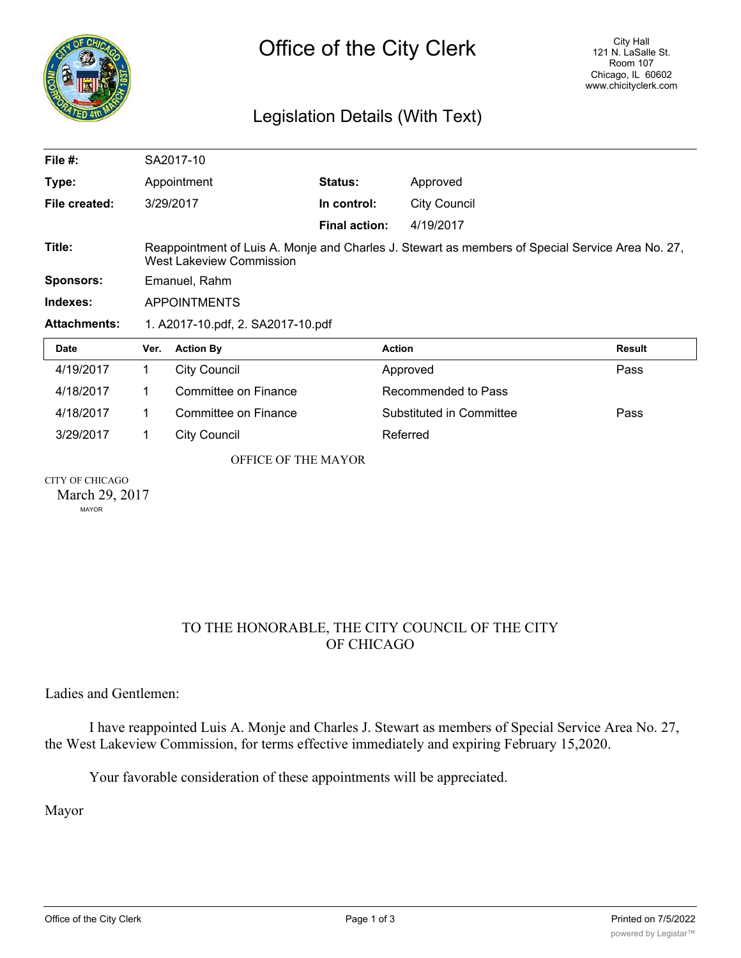

## Legislation Details (With Text)

| File $#$ :          |                                                                                                                                     | SA2017-10            |                      |                          |               |
|---------------------|-------------------------------------------------------------------------------------------------------------------------------------|----------------------|----------------------|--------------------------|---------------|
| Type:               |                                                                                                                                     | Appointment          | Status:              | Approved                 |               |
| File created:       |                                                                                                                                     | 3/29/2017            | In control:          | <b>City Council</b>      |               |
|                     |                                                                                                                                     |                      | <b>Final action:</b> | 4/19/2017                |               |
| Title:              | Reappointment of Luis A. Monje and Charles J. Stewart as members of Special Service Area No. 27,<br><b>West Lakeview Commission</b> |                      |                      |                          |               |
| <b>Sponsors:</b>    | Emanuel, Rahm                                                                                                                       |                      |                      |                          |               |
| Indexes:            | <b>APPOINTMENTS</b>                                                                                                                 |                      |                      |                          |               |
| <b>Attachments:</b> | 1. A2017-10.pdf, 2. SA2017-10.pdf                                                                                                   |                      |                      |                          |               |
| <b>Date</b>         | Ver.                                                                                                                                | <b>Action By</b>     | <b>Action</b>        |                          | <b>Result</b> |
| 4/19/2017           | 1                                                                                                                                   | <b>City Council</b>  |                      | Approved                 | Pass          |
| 4/18/2017           | 1                                                                                                                                   | Committee on Finance |                      | Recommended to Pass      |               |
| 4/18/2017           | 1                                                                                                                                   | Committee on Finance |                      | Substituted in Committee | Pass          |
|                     |                                                                                                                                     |                      |                      |                          |               |
| 3/29/2017           | 1                                                                                                                                   | <b>City Council</b>  |                      | Referred                 |               |
|                     |                                                                                                                                     | OFFICE OF THE MAYOR  |                      |                          |               |

MAYOR

## TO THE HONORABLE, THE CITY COUNCIL OF THE CITY OF CHICAGO

Ladies and Gentlemen:

I have reappointed Luis A. Monje and Charles J. Stewart as members of Special Service Area No. 27, the West Lakeview Commission, for terms effective immediately and expiring February 15,2020.

Your favorable consideration of these appointments will be appreciated.

Mayor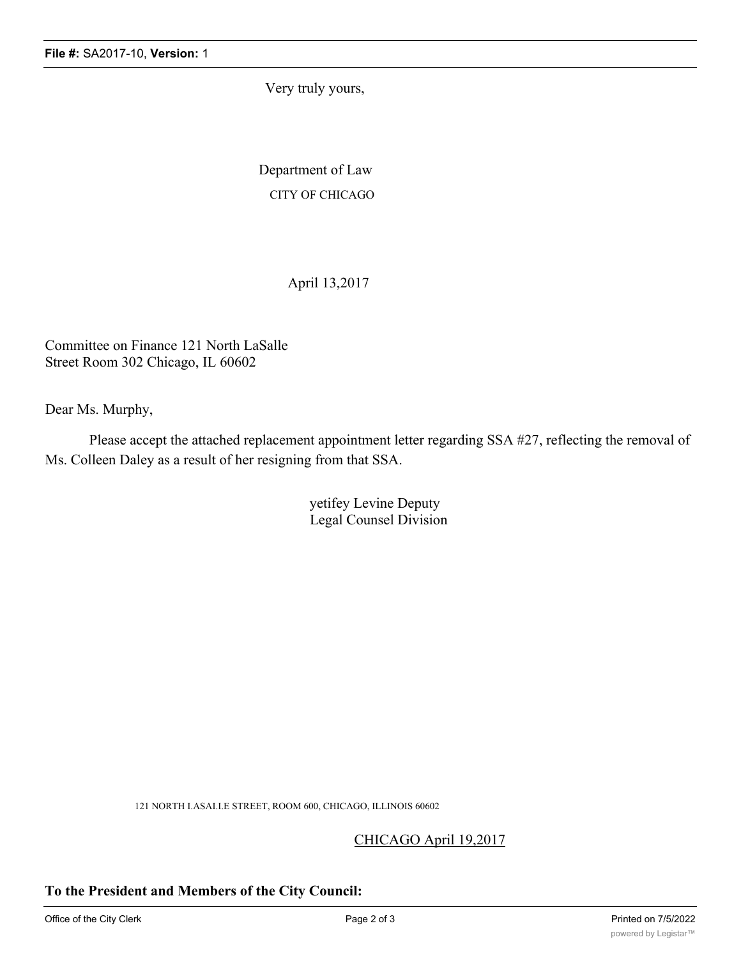Very truly yours,

Department of Law CITY OF CHICAGO

April 13,2017

Committee on Finance 121 North LaSalle Street Room 302 Chicago, IL 60602

Dear Ms. Murphy,

Please accept the attached replacement appointment letter regarding SSA #27, reflecting the removal of Ms. Colleen Daley as a result of her resigning from that SSA.

> yetifey Levine Deputy Legal Counsel Division

121 NORTH I.ASAI.I.E STREET, ROOM 600, CHICAGO, ILLINOIS 60602

CHICAGO April 19,2017

## **To the President and Members of the City Council:**